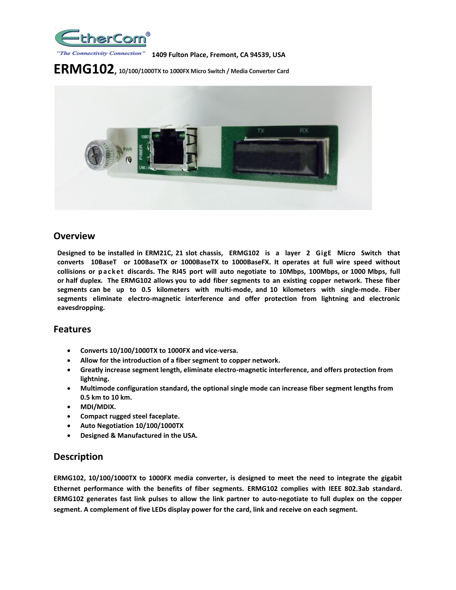

**1409 Fulton Place, Fremont, CA 94539, USA**

**ERMG102, 10/100/1000TX to 1000FX Micro Switch / Media Converter Card**



## **Overview**

**Designed to be installed in ERM21C, 21 slot chassis, ERMG102 is a layer 2 GigE Micro Switch that converts 10BaseT or 100BaseTX or 1000BaseTX to 1000BaseFX. It operates at full wire speed without collisions or p a c k e t discards. The RJ45 port will auto negotiate to 10Mbps, 100Mbps, or 1000 Mbps, full or half duplex. The ERMG102 allows you to add fiber segments to an existing copper network. These fiber segments can be up to 0.5 kilometers with multi-mode, and 10 kilometers with single-mode. Fiber segments eliminate electro-magnetic interference and offer protection from lightning and electronic eavesdropping.**

## **Features**

- **Converts 10/100/1000TX to 1000FX and vice-versa.**
- **Allow for the introduction of a fiber segment to copper network.**
- **Greatly increase segment length, eliminate electro-magnetic interference, and offers protection from lightning.**
- **Multimode configuration standard, the optional single mode can increase fiber segment lengths from 0.5 km to 10 km.**
- **MDI/MDIX.**
- **Compact rugged steel faceplate.**
- **Auto Negotiation 10/100/1000TX**
- **Designed & Manufactured in the USA.**

## **Description**

**ERMG102, 10/100/1000TX to 1000FX media converter, is designed to meet the need to integrate the gigabit Ethernet performance with the benefits of fiber segments. ERMG102 complies with IEEE 802.3ab standard. ERMG102 generates fast link pulses to allow the link partner to auto-negotiate to full duplex on the copper segment. A complement of five LEDs display power for the card, link and receive on each segment.**